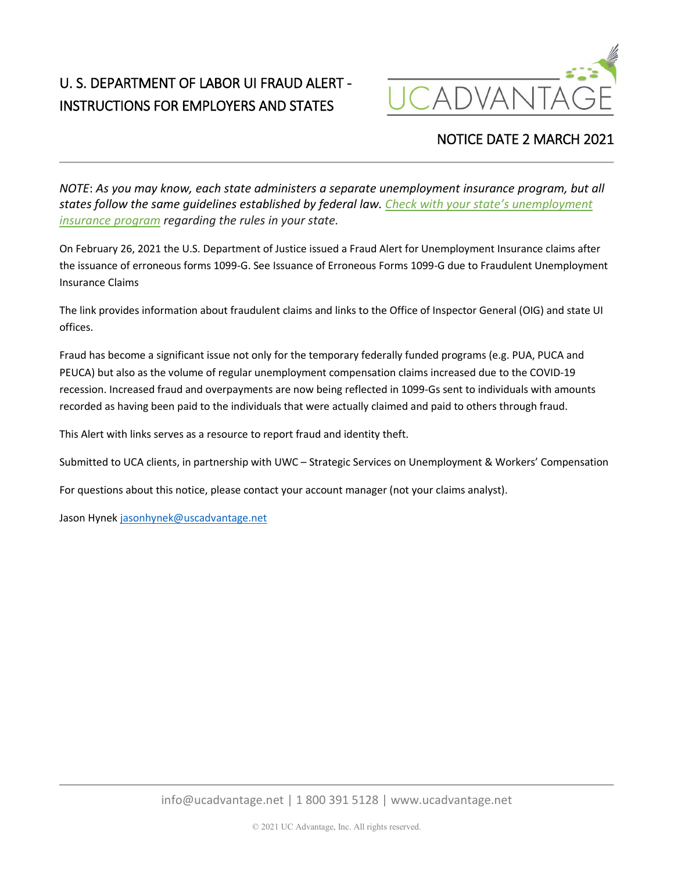## U. S. DEPARTMENT OF LABOR UI FRAUD ALERT - INSTRUCTIONS FOR EMPLOYERS AND STATES



## NOTICE DATE 2 MARCH 2021

*NOTE*: *As you may know, each state administers a separate unemployment insurance program, but all states follow the same guidelines established by federal law. [Check with your state's unemployment](https://www.careeronestop.org/LocalHelp/UnemploymentBenefits/find-unemployment-benefits.aspx)  [insurance program](https://www.careeronestop.org/LocalHelp/UnemploymentBenefits/find-unemployment-benefits.aspx) regarding the rules in your state.*

On February 26, 2021 the U.S. Department of Justice issued a Fraud Alert for Unemployment Insurance claims after the issuance of erroneous forms 1099-G. See Issuance of Erroneous Forms 1099-G due to Fraudulent Unemployment Insurance Claims

The link provides information about fraudulent claims and links to the Office of Inspector General (OIG) and state UI offices.

Fraud has become a significant issue not only for the temporary federally funded programs (e.g. PUA, PUCA and PEUCA) but also as the volume of regular unemployment compensation claims increased due to the COVID-19 recession. Increased fraud and overpayments are now being reflected in 1099-Gs sent to individuals with amounts recorded as having been paid to the individuals that were actually claimed and paid to others through fraud.

This Alert with links serves as a resource to report fraud and identity theft.

Submitted to UCA clients, in partnership with UWC – Strategic Services on Unemployment & Workers' Compensation

For questions about this notice, please contact your account manager (not your claims analyst).

Jason Hynek [jasonhynek@uscadvantage.net](mailto:jasonhynek@uscadvantage.net)